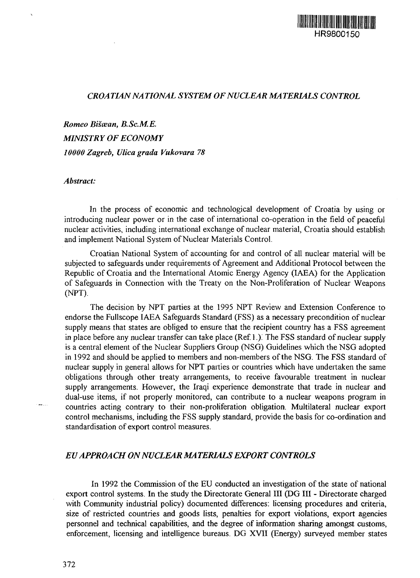## *CROA TIAN NA TIONAL SYSTEM OF NUCLEAR MA TERIALS CONTROL*

*Romeo Biscean, B.ScM.E. MINISTRY OF ECONOMY 10000 Zagreb, Ulicagrada Vukovara 78*

*Abstract:*

In the process of economic and technological development of Croatia by using or introducing nuclear power or in the case of international co-operation in the field of peaceful nuclear activities, including international exchange of nuclear material, Croatia should establish and implement National System of Nuclear Materials Control.

Croatian National System of accounting for and control of all nuclear material will be subjected to safeguards under requirements of Agreement and Additional Protocol between the Republic of Croatia and the International Atomic Energy Agency (IAEA) for the Application of Safeguards in Connection with the Treaty on the Non-Proliferation of Nuclear Weapons (NPT).

The decision by NPT parties at the 1995 NPT Review and Extension Conference to endorse the Fullscope IAEA Safeguards Standard (FSS) as a necessary precondition of nuclear supply means that states are obliged to ensure that the recipient country has a FSS agreement in place before any nuclear transfer can take place (Ref. 1.). The FSS standard of nuclear supply is a central element of the Nuclear Suppliers Group (NSG) Guidelines which the NSG adopted in 1992 and should be applied to members and non-members of the NSG. The FSS standard of nuclear supply in general allows for NPT parties or countries which have undertaken the same obligations through other treaty arrangements, to receive favourable treatment in nuclear supply arrangements. However, the Iraqi experience demonstrate that trade in nuclear and dual-use items, if not properly monitored, can contribute to a nuclear weapons program in countries acting contrary to their non-proliferation obligation. Multilateral nuclear export control mechanisms, including the FSS supply standard, provide the basis for co-ordination and standardisation of export control measures.

# *EU APPROACH ON NUCLEAR MATERIALS EXPORT CONTROLS*

In 1992 the Commission of the EU conducted an investigation of the state of national export control systems. In the study the Directorate General III (DG III - Directorate charged with Community industrial policy) documented differences: licensing procedures and criteria, size of restricted countries and goods lists, penalties for export violations, export agencies personnel and technical capabilities, and the degree of information sharing amongst customs, enforcement, licensing and intelligence bureaus. DG XVII (Energy) surveyed member states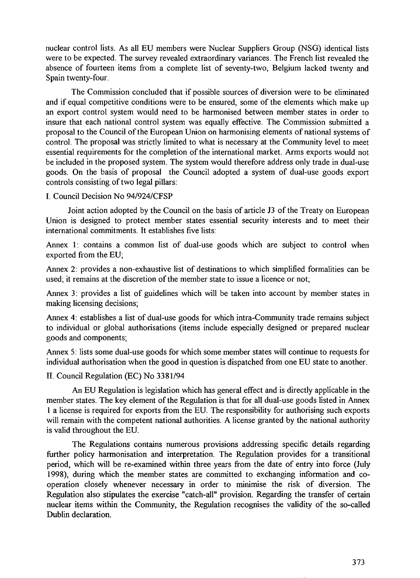nuclear control lists. As all EU members were Nuclear Suppliers Group (NSG) identical lists were to be expected. The survey revealed extraordinary variances. The French list revealed the absence of fourteen items from a complete list of seventy-two, Belgium lacked twenty and Spain twenty-four.

The Commission concluded that if possible sources of diversion were to be eliminated and if equal competitive conditions were to be ensured, some of the elements which make up an export control system would need to be harmonised between member states in order to insure that each national control system was equally effective. The Commission submitted a proposal to the Council of the European Union on harmonising elements of national systems of control. The proposal was strictly limited to what is necessary at the Community level to meet essential requirements for the completion of the international market. Arms exports would not be included in the proposed system. The system would therefore address only trade in dual-use goods. On the basis of proposal the Council adopted a system of dual-use goods export controls consisting of two legal pillars:

#### I. Council Decision No 94/924/CFSP

Joint action adopted by the Council on the basis of article J3 of the Treaty on European Union is designed to protect member states essential security interests and to meet their international commitments. It establishes five lists:

Annex 1: contains a common list of dual-use goods which are subject to control when exported from the EU;

Annex 2: provides a non-exhaustive list of destinations to which simplified formalities can be used; it remains at the discretion of the member state to issue a licence or not;

Annex 3: provides a list of guidelines which will be taken into account by member states in making licensing decisions;

Annex 4: establishes a list of dual-use goods for which intra-Community trade remains subject to individual or global authorisations (items include especially designed or prepared nuclear goods and components;

Annex 5: lists some dual-use goods for which some member states will continue to requests for individual authorisation when the good in question is dispatched from one EU state to another.

## II. Council Regulation (EC) No 3381/94

An EU Regulation is legislation which has general effect and is directly applicable in the member states. The key element of the Regulation is that for all dual-use goods listed in Annex 1 a license is required for exports from the EU. The responsibility for authorising such exports will remain with the competent national authorities. A license granted by the national authority is valid throughout the EU.

The Regulations contains numerous provisions addressing specific details regarding further policy harmonisation and interpretation. The Regulation provides for a transitional period, which will be re-examined within three years from the date of entry into force (July 1998), during which the member states are committed to exchanging information and cooperation closely whenever necessary in order to minimise the risk of diversion. The Regulation also stipulates the exercise "catch-all" provision. Regarding the transfer of certain nuclear items within the Community, the Regulation recognises the validity of the so-called Dublin declaration.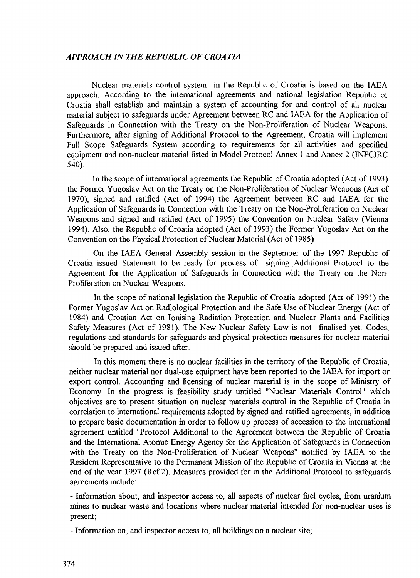## *APPRO A CH IN THE REPUBLIC OF CROA TIA*

Nuclear materials control system in the Republic of Croatia is based on the IAEA approach. According to the international agreements and national legislation Republic of Croatia shall establish and maintain a system of accounting for and control of all nuclear material subject to safeguards under Agreement between RC and IAEA for the Application of Safeguards in Connection with the Treaty on the Non-Proliferation of Nuclear Weapons. Furthermore, after signing of Additional Protocol to the Agreement, Croatia will implement Full Scope Safeguards System according to requirements for all activities and specified equipment and non-nuclear material listed in Model Protocol Annex 1 and Annex 2 (INFCIRC 540).

In the scope of international agreements the Republic of Croatia adopted (Act of 1993) the Former Yugoslav Act on the Treaty on the Non-Proliferation of Nuclear Weapons (Act of 1970), signed and ratified (Act of 1994) the Agreement between RC and IAEA for the Application of Safeguards in Connection with the Treaty on the Non-Proliferation on Nuclear Weapons and signed and ratified (Act of 1995) the Convention on Nuclear Safety (Vienna 1994). Also, the Republic of Croatia adopted (Act of 1993) the Former Yugoslav Act on the Convention on the Physical Protection of Nuclear Material (Act of 1985)

On the IAEA General Assembly session in the September of the 1997 Republic of Croatia issued Statement to be ready for process of signing Additional Protocol to the Agreement for the Application of Safeguards in Connection with the Treaty on the Non-Proliferation on Nuclear Weapons.

In the scope of national legislation the Republic of Croatia adopted (Act of 1991) the Former Yugoslav Act on Radiological Protection and the Safe Use of Nuclear Energy (Act of 1984) and Croatian Act on Ionising Radiation Protection and Nuclear Plants and Facilities Safety Measures (Act of 1981). The New Nuclear Safety Law is not finalised yet. Codes, regulations and standards for safeguards and physical protection measures for nuclear material should be prepared and issued after.

In this moment there is no nuclear facilities in the territory of the Republic of Croatia, neither nuclear material nor dual-use equipment have been reported to the IAEA for import or export control. Accounting and licensing of nuclear material is in the scope of Ministry of Economy. In the progress is feasibility study untitled "Nuclear Materials Control" which objectives are to present situation on nuclear materials control in the Republic of Croatia in correlation to international requirements adopted by signed and ratified agreements, in addition to prepare basic documentation in order to follow up process of accession to the international agreement untitled "Protocol Additional to the Agreement between the Republic of Croatia and the International Atomic Energy Agency for the Application of Safeguards in Connection with the Treaty on the Non-Proliferation of Nuclear Weapons" notified by IAEA to the Resident Representative to the Permanent Mission of the Republic of Croatia in Vienna at the end of the year 1997 (Ref.2). Measures provided for in the Additional Protocol to safeguards agreements include:

- Information about, and inspector access to, all aspects of nuclear **fuel** cycles, from uranium mines to nuclear waste and locations where nuclear material intended for non-nuclear uses is present;

- Information on, and inspector access to, all buildings on a nuclear site;